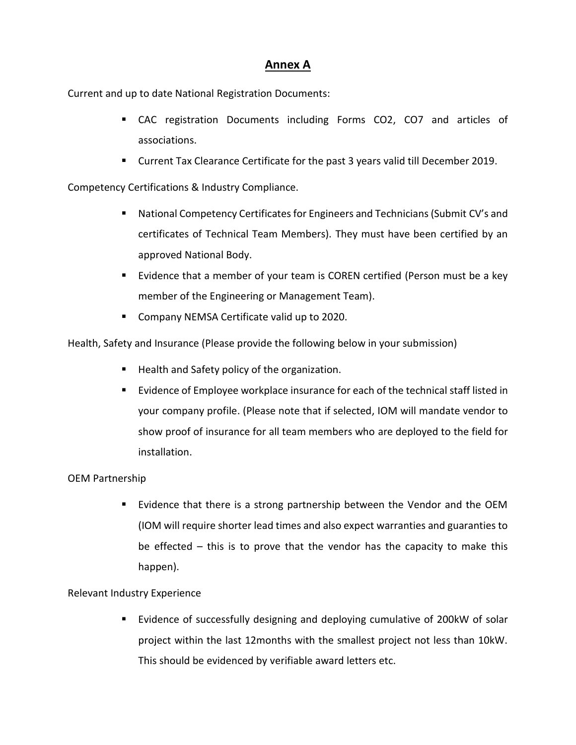# **Annex A**

Current and up to date National Registration Documents:

- CAC registration Documents including Forms CO2, CO7 and articles of associations.
- Current Tax Clearance Certificate for the past 3 years valid till December 2019.

Competency Certifications & Industry Compliance.

- National Competency Certificates for Engineers and Technicians (Submit CV's and certificates of Technical Team Members). They must have been certified by an approved National Body.
- Evidence that a member of your team is COREN certified (Person must be a key member of the Engineering or Management Team).
- Company NEMSA Certificate valid up to 2020.

Health, Safety and Insurance (Please provide the following below in your submission)

- Health and Safety policy of the organization.
- Evidence of Employee workplace insurance for each of the technical staff listed in your company profile. (Please note that if selected, IOM will mandate vendor to show proof of insurance for all team members who are deployed to the field for installation.

# OEM Partnership

**Example 15 Follow** Evidence that there is a strong partnership between the Vendor and the OEM (IOM will require shorter lead times and also expect warranties and guaranties to be effected – this is to prove that the vendor has the capacity to make this happen).

# Relevant Industry Experience

 Evidence of successfully designing and deploying cumulative of 200kW of solar project within the last 12months with the smallest project not less than 10kW. This should be evidenced by verifiable award letters etc.